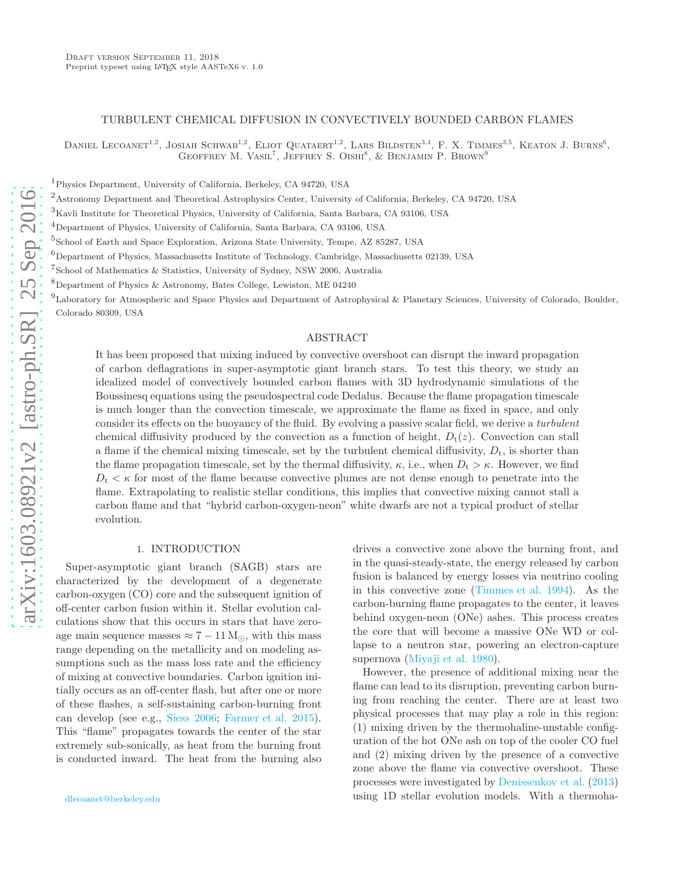### TURBULENT CHEMICAL DIFFUSION IN CONVECTIVELY BOUNDED CARBON FLAMES

DANIEL LECOANET<sup>1,2</sup>, JOSIAH SCHWAB<sup>1,2</sup>, ELIOT QUATAERT<sup>1,2</sup>, LARS BILDSTEN<sup>3,4</sup>, F. X. TIMMES<sup>3,5</sup>, KEATON J. BURNS<sup>6</sup>, GEOFFREY M. VASIL<sup>7</sup>, JEFFREY S. OISHI<sup>8</sup>, & BENJAMIN P. BROWN<sup>9</sup>

<sup>1</sup>Physics Department, University of California, Berkeley, CA 94720, USA

<sup>2</sup>Astronomy Department and Theoretical Astrophysics Center, University of California, Berkeley, CA 94720, USA

 ${}^{3}\rm{Kavli}$  Institute for Theoretical Physics, University of California, Santa Barbara, CA 93106, USA

 $^{4}$ Department of Physics, University of California, Santa Barbara, CA 93106, USA

5 School of Earth and Space Exploration, Arizona State University, Tempe, AZ 85287, USA

 $6$ Department of Physics, Massachusetts Institute of Technology, Cambridge, Massachusetts 02139, USA

7 School of Mathematics & Statistics, University of Sydney, NSW 2006, Australia

 $8$ Department of Physics & Astronomy, Bates College, Lewiston, ME 04240

 $^{9}$ Laboratory for Atmospheric and Space Physics and Department of Astrophysical & Planetary Sciences, University of Colorado, Boulder, Colorado 80309, USA

## ABSTRACT

It has been proposed that mixing induced by convective overshoot can disrupt the inward propagation of carbon deflagrations in super-asymptotic giant branch stars. To test this theory, we study an idealized model of convectively bounded carbon flames with 3D hydrodynamic simulations of the Boussinesq equations using the pseudospectral code Dedalus. Because the flame propagation timescale is much longer than the convection timescale, we approximate the flame as fixed in space, and only consider its effects on the buoyancy of the fluid. By evolving a passive scalar field, we derive a turbulent chemical diffusivity produced by the convection as a function of height,  $D_t(z)$ . Convection can stall a flame if the chemical mixing timescale, set by the turbulent chemical diffusivity,  $D_t$ , is shorter than the flame propagation timescale, set by the thermal diffusivity,  $\kappa$ , i.e., when  $D_t > \kappa$ . However, we find  $D_t < \kappa$  for most of the flame because convective plumes are not dense enough to penetrate into the flame. Extrapolating to realistic stellar conditions, this implies that convective mixing cannot stall a carbon flame and that "hybrid carbon-oxygen-neon" white dwarfs are not a typical product of stellar evolution.

### 1. INTRODUCTION

Super-asymptotic giant branch (SAGB) stars are characterized by the development of a degenerate carbon-oxygen (CO) core and the subsequent ignition of off-center carbon fusion within it. Stellar evolution calculations show that this occurs in stars that have zeroage main sequence masses  $\approx 7 - 11$  M<sub> $\odot$ </sub>, with this mass range depending on the metallicity and on modeling assumptions such as the mass loss rate and the efficiency of mixing at convective boundaries. Carbon ignition initially occurs as an off-center flash, but after one or more of these flashes, a self-sustaining carbon-burning front can develop (see e.g., [Siess 2006;](#page-8-0) [Farmer et al. 2015\)](#page-8-1). This "flame" propagates towards the center of the star extremely sub-sonically, as heat from the burning front is conducted inward. The heat from the burning also

drives a convective zone above the burning front, and in the quasi-steady-state, the energy released by carbon fusion is balanced by energy losses via neutrino cooling in this convective zone [\(Timmes et al. 1994\)](#page-8-2). As the carbon-burning flame propagates to the center, it leaves behind oxygen-neon (ONe) ashes. This process creates the core that will become a massive ONe WD or collapse to a neutron star, powering an electron-capture supernova [\(Miyaji et al. 1980](#page-8-3)).

However, the presence of additional mixing near the flame can lead to its disruption, preventing carbon burning from reaching the center. There are at least two physical processes that may play a role in this region: (1) mixing driven by the thermohaline-unstable configuration of the hot ONe ash on top of the cooler CO fuel and (2) mixing driven by the presence of a convective zone above the flame via convective overshoot. These processes were investigated by [Denissenkov et al.](#page-8-4) [\(2013](#page-8-4)) using 1D stellar evolution models. With a thermoha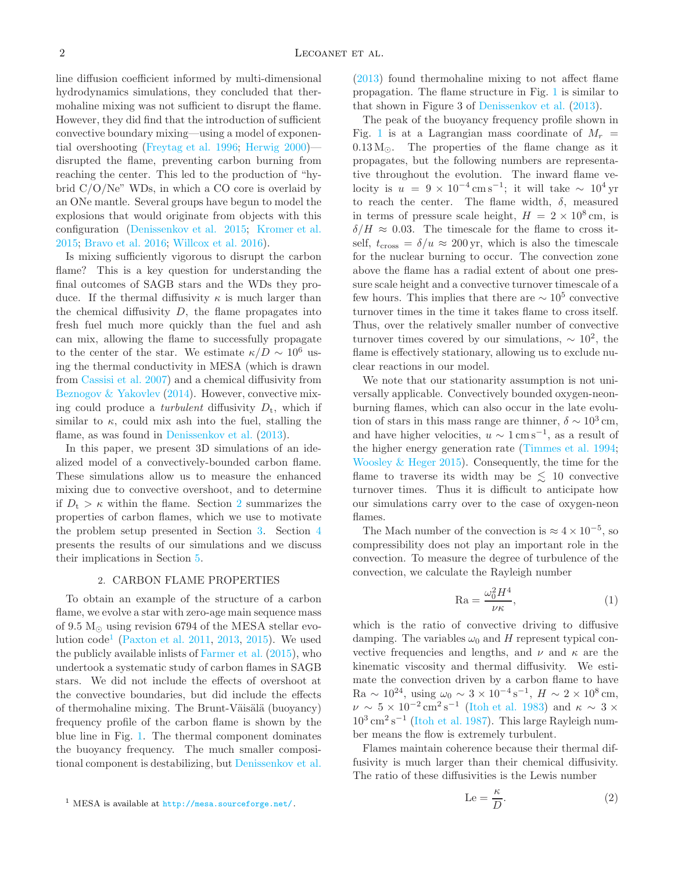line diffusion coefficient informed by multi-dimensional hydrodynamics simulations, they concluded that thermohaline mixing was not sufficient to disrupt the flame. However, they did find that the introduction of sufficient convective boundary mixing—using a model of exponential overshooting [\(Freytag et al. 1996;](#page-8-5) [Herwig 2000\)](#page-8-6) disrupted the flame, preventing carbon burning from reaching the center. This led to the production of "hybrid C/O/Ne" WDs, in which a CO core is overlaid by an ONe mantle. Several groups have begun to model the explosions that would originate from objects with this configuration [\(Denissenkov et al. 2015;](#page-8-7) [Kromer et al.](#page-8-8) [2015;](#page-8-8) [Bravo et al. 2016](#page-8-9); [Willcox et al. 2016\)](#page-8-10).

Is mixing sufficiently vigorous to disrupt the carbon flame? This is a key question for understanding the final outcomes of SAGB stars and the WDs they produce. If the thermal diffusivity  $\kappa$  is much larger than the chemical diffusivity  $D$ , the flame propagates into fresh fuel much more quickly than the fuel and ash can mix, allowing the flame to successfully propagate to the center of the star. We estimate  $\kappa/D \sim 10^6$  using the thermal conductivity in MESA (which is drawn from [Cassisi et al. 2007\)](#page-8-11) and a chemical diffusivity from [Beznogov & Yakovlev](#page-8-12) [\(2014\)](#page-8-12). However, convective mixing could produce a *turbulent* diffusivity  $D_t$ , which if similar to  $\kappa$ , could mix ash into the fuel, stalling the flame, as was found in [Denissenkov et al.](#page-8-4)  $(2013)$ .

In this paper, we present 3D simulations of an idealized model of a convectively-bounded carbon flame. These simulations allow us to measure the enhanced mixing due to convective overshoot, and to determine if  $D_t > \kappa$  within the flame. Section [2](#page-1-0) summarizes the properties of carbon flames, which we use to motivate the problem setup presented in Section [3.](#page-2-0) Section [4](#page-3-0) presents the results of our simulations and we discuss their implications in Section [5.](#page-7-0)

## 2. CARBON FLAME PROPERTIES

<span id="page-1-0"></span>To obtain an example of the structure of a carbon flame, we evolve a star with zero-age main sequence mass of 9.5  $M_{\odot}$  using revision 6794 of the MESA stellar evolution  $\text{code}^1$  $\text{code}^1$  [\(Paxton et al. 2011,](#page-8-13) [2013,](#page-8-14) [2015\)](#page-8-15). We used the publicly available inlists of [Farmer et al.](#page-8-1) [\(2015](#page-8-1)), who undertook a systematic study of carbon flames in SAGB stars. We did not include the effects of overshoot at the convective boundaries, but did include the effects of thermohaline mixing. The Brunt-Väisälä (buoyancy) frequency profile of the carbon flame is shown by the blue line in Fig. [1.](#page-2-1) The thermal component dominates the buoyancy frequency. The much smaller compositional component is destabilizing, but [Denissenkov et al.](#page-8-4)

[\(2013\)](#page-8-4) found thermohaline mixing to not affect flame propagation. The flame structure in Fig. [1](#page-2-1) is similar to that shown in Figure 3 of [Denissenkov et al.](#page-8-4) [\(2013\)](#page-8-4).

The peak of the buoyancy frequency profile shown in Fig. [1](#page-2-1) is at a Lagrangian mass coordinate of  $M_r =$  $0.13 M_{\odot}$ . The properties of the flame change as it propagates, but the following numbers are representative throughout the evolution. The inward flame velocity is  $u = 9 \times 10^{-4} \text{ cm s}^{-1}$ ; it will take  $\sim 10^4 \text{ yr}$ to reach the center. The flame width,  $\delta$ , measured in terms of pressure scale height,  $H = 2 \times 10^8$  cm, is  $\delta/H \approx 0.03$ . The timescale for the flame to cross itself,  $t_{\text{cross}} = \delta/u \approx 200 \text{ yr}$ , which is also the timescale for the nuclear burning to occur. The convection zone above the flame has a radial extent of about one pressure scale height and a convective turnover timescale of a few hours. This implies that there are  $\sim 10^5$  convective turnover times in the time it takes flame to cross itself. Thus, over the relatively smaller number of convective turnover times covered by our simulations,  $\sim 10^2$ , the flame is effectively stationary, allowing us to exclude nuclear reactions in our model.

We note that our stationarity assumption is not universally applicable. Convectively bounded oxygen-neonburning flames, which can also occur in the late evolution of stars in this mass range are thinner,  $\delta \sim 10^3$  cm, and have higher velocities,  $u \sim 1 \text{ cm s}^{-1}$ , as a result of the higher energy generation rate [\(Timmes et al. 1994](#page-8-2); [Woosley & Heger 2015](#page-8-16)). Consequently, the time for the flame to traverse its width may be  $\lesssim$  10 convective turnover times. Thus it is difficult to anticipate how our simulations carry over to the case of oxygen-neon flames.

The Mach number of the convection is  $\approx 4 \times 10^{-5}$ , so compressibility does not play an important role in the convection. To measure the degree of turbulence of the convection, we calculate the Rayleigh number

<span id="page-1-2"></span>
$$
\text{Ra} = \frac{\omega_0^2 H^4}{\nu \kappa},\tag{1}
$$

which is the ratio of convective driving to diffusive damping. The variables  $\omega_0$  and H represent typical convective frequencies and lengths, and  $\nu$  and  $\kappa$  are the kinematic viscosity and thermal diffusivity. We estimate the convection driven by a carbon flame to have Ra ~ 10<sup>24</sup>, using  $\omega_0 \sim 3 \times 10^{-4} \text{ s}^{-1}$ ,  $H \sim 2 \times 10^8 \text{ cm}$ ,  $\nu \sim 5 \times 10^{-2} \text{ cm}^2 \text{ s}^{-1}$  [\(Itoh et al. 1983\)](#page-8-17) and  $\kappa \sim 3 \times$  $10^3 \text{ cm}^2 \text{ s}^{-1}$  [\(Itoh et al. 1987\)](#page-8-18). This large Rayleigh number means the flow is extremely turbulent.

Flames maintain coherence because their thermal diffusivity is much larger than their chemical diffusivity. The ratio of these diffusivities is the Lewis number

<span id="page-1-3"></span>
$$
\text{Le} = \frac{\kappa}{D}.\tag{2}
$$

<span id="page-1-1"></span><sup>1</sup> MESA is available at <http://mesa.sourceforge.net/>.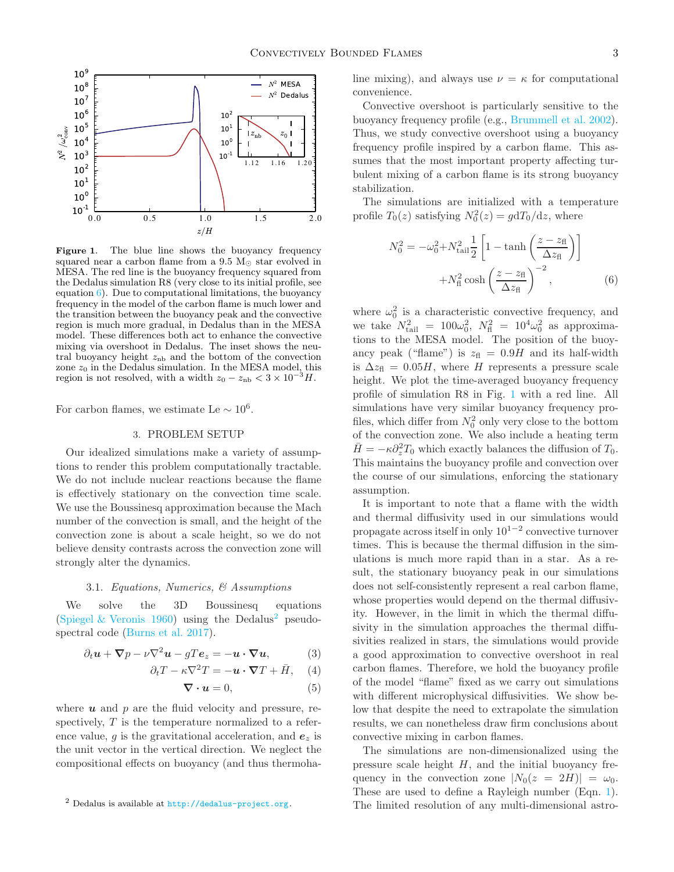

<span id="page-2-1"></span>Figure 1. The blue line shows the buoyancy frequency squared near a carbon flame from a 9.5  $M_{\odot}$  star evolved in MESA. The red line is the buoyancy frequency squared from the Dedalus simulation R8 (very close to its initial profile, see equation  $6$ ). Due to computational limitations, the buoyancy frequency in the model of the carbon flame is much lower and the transition between the buoyancy peak and the convective region is much more gradual, in Dedalus than in the MESA model. These differences both act to enhance the convective mixing via overshoot in Dedalus. The inset shows the neutral buoyancy height  $z<sub>nb</sub>$  and the bottom of the convection zone  $z_0$  in the Dedalus simulation. In the MESA model, this region is not resolved, with a width  $z_0 - z_{\text{nb}} < 3 \times 10^{-3}$  H.

<span id="page-2-0"></span>For carbon flames, we estimate Le  $\sim 10^6$ .

#### 3. PROBLEM SETUP

Our idealized simulations make a variety of assumptions to render this problem computationally tractable. We do not include nuclear reactions because the flame is effectively stationary on the convection time scale. We use the Boussinesq approximation because the Mach number of the convection is small, and the height of the convection zone is about a scale height, so we do not believe density contrasts across the convection zone will strongly alter the dynamics.

### 3.1. Equations, Numerics, & Assumptions

We solve the 3D Boussinesq equations [\(Spiegel & Veronis 1960](#page-8-19)) using the Dedalus<sup>[2](#page-2-3)</sup> pseudospectral code [\(Burns et al. 2017\)](#page-8-20).

$$
\partial_t \mathbf{u} + \nabla p - \nu \nabla^2 \mathbf{u} - gT \mathbf{e}_z = -\mathbf{u} \cdot \nabla \mathbf{u}, \tag{3}
$$

$$
\partial_t T - \kappa \nabla^2 T = -\boldsymbol{u} \cdot \boldsymbol{\nabla} T + \bar{H}, \quad (4)
$$

$$
\nabla \cdot \mathbf{u} = 0,\tag{5}
$$

where  $u$  and  $p$  are the fluid velocity and pressure, respectively, T is the temperature normalized to a reference value, g is the gravitational acceleration, and  $e_z$  is the unit vector in the vertical direction. We neglect the compositional effects on buoyancy (and thus thermohaline mixing), and always use  $\nu = \kappa$  for computational convenience.

Convective overshoot is particularly sensitive to the buoyancy frequency profile (e.g., [Brummell et al. 2002](#page-8-21)). Thus, we study convective overshoot using a buoyancy frequency profile inspired by a carbon flame. This assumes that the most important property affecting turbulent mixing of a carbon flame is its strong buoyancy stabilization.

The simulations are initialized with a temperature profile  $T_0(z)$  satisfying  $N_0^2(z) = g \frac{d T_0}{dz}$ , where

<span id="page-2-2"></span>
$$
N_0^2 = -\omega_0^2 + N_{\text{tail}}^2 \frac{1}{2} \left[ 1 - \tanh\left(\frac{z - z_{\text{fl}}}{\Delta z_{\text{fl}}}\right) \right]
$$

$$
+ N_{\text{fl}}^2 \cosh\left(\frac{z - z_{\text{fl}}}{\Delta z_{\text{fl}}}\right)^{-2}, \tag{6}
$$

where  $\omega_0^2$  is a characteristic convective frequency, and we take  $N_{\text{tail}}^2 = 100\omega_0^2$ ,  $N_{\text{fl}}^2 = 10^4\omega_0^2$  as approximations to the MESA model. The position of the buoyancy peak ("flame") is  $z_{\text{fl}} = 0.9H$  and its half-width is  $\Delta z_{\rm fl} = 0.05H$ , where H represents a pressure scale height. We plot the time-averaged buoyancy frequency profile of simulation R8 in Fig. [1](#page-2-1) with a red line. All simulations have very similar buoyancy frequency profiles, which differ from  $N_0^2$  only very close to the bottom of the convection zone. We also include a heating term  $\bar{H} = -\kappa \partial_z^2 T_0$  which exactly balances the diffusion of  $T_0$ . This maintains the buoyancy profile and convection over the course of our simulations, enforcing the stationary assumption.

It is important to note that a flame with the width and thermal diffusivity used in our simulations would propagate across itself in only  $10^{1-2}$  convective turnover times. This is because the thermal diffusion in the simulations is much more rapid than in a star. As a result, the stationary buoyancy peak in our simulations does not self-consistently represent a real carbon flame, whose properties would depend on the thermal diffusivity. However, in the limit in which the thermal diffusivity in the simulation approaches the thermal diffusivities realized in stars, the simulations would provide a good approximation to convective overshoot in real carbon flames. Therefore, we hold the buoyancy profile of the model "flame" fixed as we carry out simulations with different microphysical diffusivities. We show below that despite the need to extrapolate the simulation results, we can nonetheless draw firm conclusions about convective mixing in carbon flames.

The simulations are non-dimensionalized using the pressure scale height  $H$ , and the initial buoyancy frequency in the convection zone  $|N_0(z = 2H)| = \omega_0$ . These are used to define a Rayleigh number (Eqn. [1\)](#page-1-2). The limited resolution of any multi-dimensional astro-

<span id="page-2-3"></span><sup>2</sup> Dedalus is available at <http://dedalus-project.org>.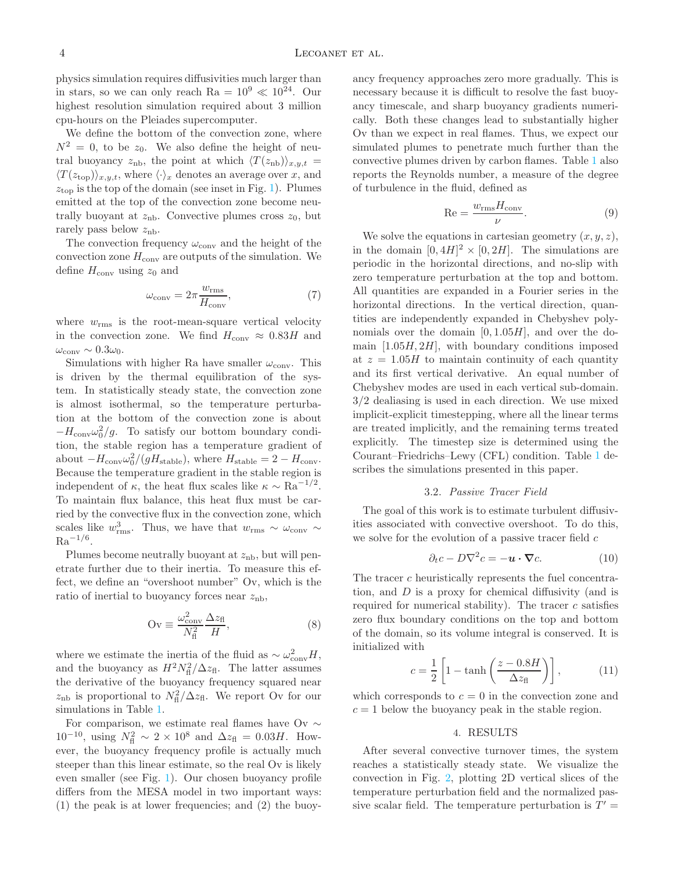physics simulation requires diffusivities much larger than in stars, so we can only reach Ra =  $10^9 \ll 10^{24}$ . Our highest resolution simulation required about 3 million cpu-hours on the Pleiades supercomputer.

We define the bottom of the convection zone, where  $N^2 = 0$ , to be  $z_0$ . We also define the height of neutral buoyancy  $z_{\rm nb}$ , the point at which  $\langle T(z_{\rm nb})\rangle_{x,y,t} =$  $\langle T(z_{\text{top}})\rangle_{x,y,t}$ , where  $\langle \cdot \rangle_x$  denotes an average over x, and  $z<sub>top</sub>$  is the top of the domain (see inset in Fig. [1\)](#page-2-1). Plumes emitted at the top of the convection zone become neutrally buoyant at  $z_{\rm nb}$ . Convective plumes cross  $z_0$ , but rarely pass below  $z_{\rm nb}$ .

The convection frequency  $\omega _{\rm{conv}}$  and the height of the convection zone  $H_{\text{conv}}$  are outputs of the simulation. We define  $H_{\text{conv}}$  using  $z_0$  and

$$
\omega_{\text{conv}} = 2\pi \frac{w_{\text{rms}}}{H_{\text{conv}}},\tag{7}
$$

where  $w_{\rm rms}$  is the root-mean-square vertical velocity in the convection zone. We find  $H_{\text{conv}} \approx 0.83H$  and  $\omega_{\text{conv}} \sim 0.3 \omega_0$ .

Simulations with higher Ra have smaller  $\omega_{\text{conv}}$ . This is driven by the thermal equilibration of the system. In statistically steady state, the convection zone is almost isothermal, so the temperature perturbation at the bottom of the convection zone is about  $-H_{\text{conv}}\omega_0^2/g$ . To satisfy our bottom boundary condition, the stable region has a temperature gradient of about  $-H_{\text{conv}}\omega_0^2/(gH_{\text{stable}})$ , where  $H_{\text{stable}} = 2 - H_{\text{conv}}$ . Because the temperature gradient in the stable region is independent of  $\kappa$ , the heat flux scales like  $\kappa \sim \text{Ra}^{-1/2}$ . To maintain flux balance, this heat flux must be carried by the convective flux in the convection zone, which scales like  $w_{\text{rms}}^3$ . Thus, we have that  $w_{\text{rms}} \sim \omega_{\text{conv}} \sim$  $\rm{Ra}^{-1/6}$ .

Plumes become neutrally buoyant at  $z<sub>nb</sub>$ , but will penetrate further due to their inertia. To measure this effect, we define an "overshoot number" Ov, which is the ratio of inertial to buoyancy forces near  $z_{\rm nb}$ ,

$$
\text{Ov} \equiv \frac{\omega_{\text{conv}}^2}{N_{\text{fl}}^2} \frac{\Delta z_{\text{fl}}}{H},\tag{8}
$$

where we estimate the inertia of the fluid as  $\sim \omega_{\text{conv}}^2 H$ , and the buoyancy as  $H^2 N_{\text{fl}}^2 / \Delta z_{\text{fl}}$ . The latter assumes the derivative of the buoyancy frequency squared near  $z<sub>nb</sub>$  is proportional to  $N_{\text{fl}}^2/\Delta z_{\text{fl}}$ . We report Ov for our simulations in Table [1.](#page-4-0)

For comparison, we estimate real flames have Ov  $\sim$  $10^{-10}$ , using  $N_{\text{fl}}^2 \sim 2 \times 10^8$  and  $\Delta z_{\text{fl}} = 0.03H$ . However, the buoyancy frequency profile is actually much steeper than this linear estimate, so the real Ov is likely even smaller (see Fig. [1\)](#page-2-1). Our chosen buoyancy profile differs from the MESA model in two important ways: (1) the peak is at lower frequencies; and (2) the buoyancy frequency approaches zero more gradually. This is necessary because it is difficult to resolve the fast buoyancy timescale, and sharp buoyancy gradients numerically. Both these changes lead to substantially higher Ov than we expect in real flames. Thus, we expect our simulated plumes to penetrate much further than the convective plumes driven by carbon flames. Table [1](#page-4-0) also reports the Reynolds number, a measure of the degree of turbulence in the fluid, defined as

<span id="page-3-2"></span>
$$
Re = \frac{w_{\rm rms} H_{\rm conv}}{\nu}.
$$
 (9)

We solve the equations in cartesian geometry  $(x, y, z)$ , in the domain  $[0, 4H]^2 \times [0, 2H]$ . The simulations are periodic in the horizontal directions, and no-slip with zero temperature perturbation at the top and bottom. All quantities are expanded in a Fourier series in the horizontal directions. In the vertical direction, quantities are independently expanded in Chebyshev polynomials over the domain  $[0, 1.05H]$ , and over the domain  $[1.05H, 2H]$ , with boundary conditions imposed at  $z = 1.05H$  to maintain continuity of each quantity and its first vertical derivative. An equal number of Chebyshev modes are used in each vertical sub-domain. 3/2 dealiasing is used in each direction. We use mixed implicit-explicit timestepping, where all the linear terms are treated implicitly, and the remaining terms treated explicitly. The timestep size is determined using the Courant–Friedrichs–Lewy (CFL) condition. Table [1](#page-4-0) describes the simulations presented in this paper.

# 3.2. Passive Tracer Field

The goal of this work is to estimate turbulent diffusivities associated with convective overshoot. To do this, we solve for the evolution of a passive tracer field  $c$ 

$$
\partial_t c - D\nabla^2 c = -\boldsymbol{u} \cdot \boldsymbol{\nabla} c. \tag{10}
$$

<span id="page-3-1"></span>The tracer c heuristically represents the fuel concentration, and  $D$  is a proxy for chemical diffusivity (and is required for numerical stability). The tracer  $c$  satisfies zero flux boundary conditions on the top and bottom of the domain, so its volume integral is conserved. It is initialized with

$$
c = \frac{1}{2} \left[ 1 - \tanh\left(\frac{z - 0.8H}{\Delta z_{\text{fl}}}\right) \right],\tag{11}
$$

<span id="page-3-0"></span>which corresponds to  $c = 0$  in the convection zone and  $c = 1$  below the buoyancy peak in the stable region.

## 4. RESULTS

After several convective turnover times, the system reaches a statistically steady state. We visualize the convection in Fig. [2,](#page-4-1) plotting 2D vertical slices of the temperature perturbation field and the normalized passive scalar field. The temperature perturbation is  $T' =$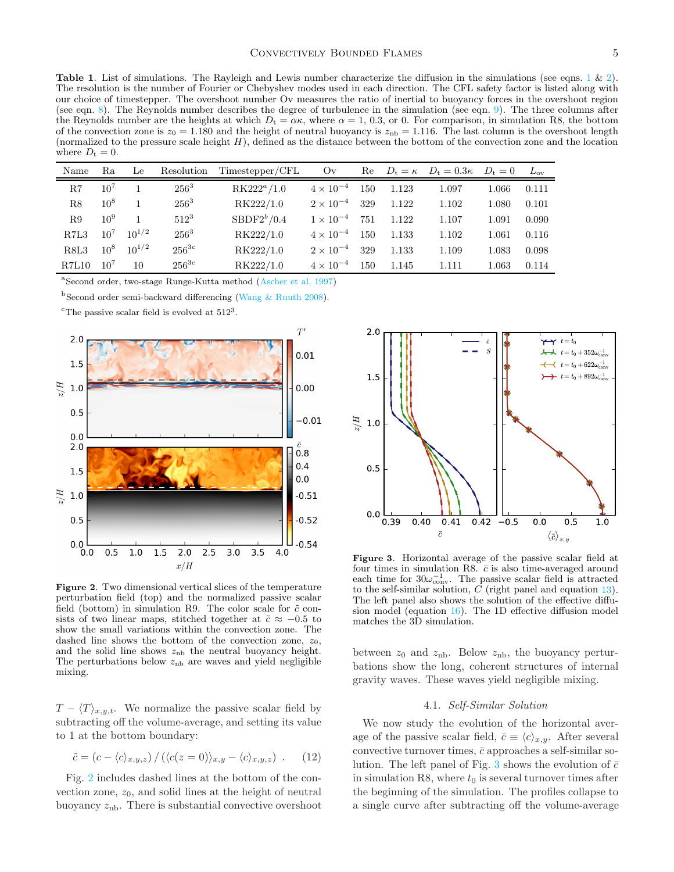<span id="page-4-0"></span>**Table [1](#page-1-2).** List of simulations. The Rayleigh and Lewis number characterize the diffusion in the simulations (see eqns. 1 & [2\)](#page-1-3). The resolution is the number of Fourier or Chebyshev modes used in each direction. The CFL safety factor is listed along with our choice of timestepper. The overshoot number Ov measures the ratio of inertial to buoyancy forces in the overshoot region (see eqn. [8\)](#page-3-1). The Reynolds number describes the degree of turbulence in the simulation (see eqn. [9\)](#page-3-2). The three columns after the Reynolds number are the heights at which  $D_t = \alpha \kappa$ , where  $\alpha = 1, 0.3$ , or 0. For comparison, in simulation R8, the bottom of the convection zone is  $z_0 = 1.180$  and the height of neutral buoyancy is  $z_{\rm nb} = 1.116$ . The last column is the overshoot length (normalized to the pressure scale height  $H$ ), defined as the distance between the bottom of the convection zone and the location where  $D_t = 0$ .

| Name          | Ra              | Le         | Resolution | Timestepper/CFL | O <sub>V</sub>     | Re  |       | $D_t = \kappa$ $D_t = 0.3\kappa$ | $D_t=0$ | $L_{ov}$ |
|---------------|-----------------|------------|------------|-----------------|--------------------|-----|-------|----------------------------------|---------|----------|
| R.7           | $10^{7}$        |            | $256^3$    | $RK222^a/1.0$   | $4 \times 10^{-4}$ | 150 | 1.123 | 1.097                            | 1.066   | 0.111    |
| R8            | $10^{8}$        |            | $256^3$    | RK222/1.0       | $2 \times 10^{-4}$ | 329 | 1.122 | 1.102                            | 1.080   | 0.101    |
| R.9           | $10^{9}$        |            | $512^3$    | $SBDF2^{b}/0.4$ | $1 \times 10^{-4}$ | 751 | 1.122 | 1.107                            | 1.091   | 0.090    |
| RZL3          | $10^{7}$        | $10^{1/2}$ | $256^3$    | RK222/1.0       | $4 \times 10^{-4}$ | 150 | 1.133 | 1.102                            | 1.061   | 0.116    |
| R8L3          | $10^{8}$        | $10^{1/2}$ | $256^{3c}$ | RK222/1.0       | $2 \times 10^{-4}$ | 329 | 1.133 | 1.109                            | 1.083   | 0.098    |
| <b>R.7L10</b> | 10 <sup>7</sup> | 10         | $256^{3c}$ | RK222/1.0       | $4\times10^{-4}$   | 150 | 1.145 | 1.111                            | 1.063   | 0.114    |

a Second order, two-stage Runge-Kutta method [\(Ascher et al. 1997\)](#page-8-22)

<sup>b</sup>Second order semi-backward differencing [\(Wang & Ruuth 2008\)](#page-8-23).

<sup>c</sup>The passive scalar field is evolved at  $512^3$ .



<span id="page-4-1"></span>Figure 2. Two dimensional vertical slices of the temperature perturbation field (top) and the normalized passive scalar field (bottom) in simulation R9. The color scale for  $\tilde{c}$  consists of two linear maps, stitched together at  $\tilde{c} \approx -0.5$  to show the small variations within the convection zone. The dashed line shows the bottom of the convection zone,  $z_0$ , and the solid line shows  $z<sub>nb</sub>$  the neutral buoyancy height. The perturbations below  $z<sub>nb</sub>$  are waves and yield negligible mixing.

 $T - \langle T \rangle_{x,y,t}$ . We normalize the passive scalar field by subtracting off the volume-average, and setting its value to 1 at the bottom boundary:

$$
\tilde{c} = (c - \langle c \rangle_{x,y,z}) / (\langle c(z=0) \rangle_{x,y} - \langle c \rangle_{x,y,z}) . \quad (12)
$$

Fig. [2](#page-4-1) includes dashed lines at the bottom of the convection zone,  $z_0$ , and solid lines at the height of neutral buoyancy  $z_{\rm nb}$ . There is substantial convective overshoot



<span id="page-4-2"></span>Figure 3. Horizontal average of the passive scalar field at four times in simulation R8.  $\bar{c}$  is also time-averaged around each time for  $30\omega_{\text{conv}}^{-1}$ . The passive scalar field is attracted to the self-similar solution,  $C$  (right panel and equation [13\)](#page-5-0). The left panel also shows the solution of the effective diffusion model (equation [16\)](#page-5-1). The 1D effective diffusion model matches the 3D simulation.

between  $z_0$  and  $z_{\rm nb}$ . Below  $z_{\rm nb}$ , the buoyancy perturbations show the long, coherent structures of internal gravity waves. These waves yield negligible mixing.

## 4.1. Self-Similar Solution

We now study the evolution of the horizontal average of the passive scalar field,  $\bar{c} \equiv \langle c \rangle_{x,y}$ . After several convective turnover times,  $\bar{c}$  approaches a self-similar so-lution. The left panel of Fig. [3](#page-4-2) shows the evolution of  $\bar{c}$ in simulation R8, where  $t_0$  is several turnover times after the beginning of the simulation. The profiles collapse to a single curve after subtracting off the volume-average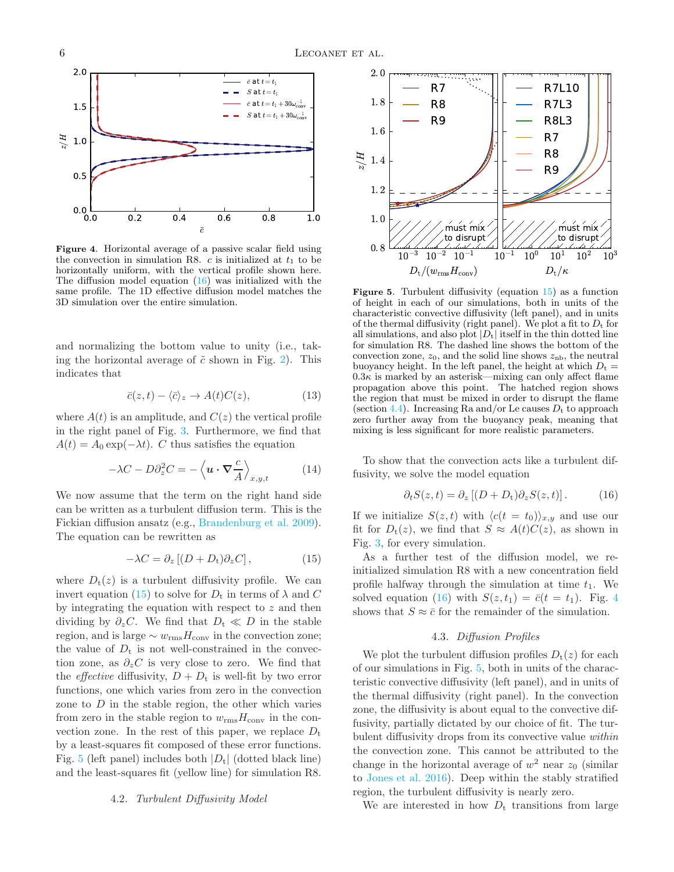

<span id="page-5-4"></span>Figure 4. Horizontal average of a passive scalar field using the convection in simulation R8. c is initialized at  $t_1$  to be horizontally uniform, with the vertical profile shown here. The diffusion model equation [\(16\)](#page-5-1) was initialized with the same profile. The 1D effective diffusion model matches the 3D simulation over the entire simulation.

and normalizing the bottom value to unity (i.e., taking the horizontal average of  $\tilde{c}$  shown in Fig. [2\)](#page-4-1). This indicates that

$$
\bar{c}(z,t) - \langle \bar{c} \rangle_z \to A(t)C(z),\tag{13}
$$

where  $A(t)$  is an amplitude, and  $C(z)$  the vertical profile in the right panel of Fig. [3.](#page-4-2) Furthermore, we find that  $A(t) = A_0 \exp(-\lambda t)$ . C thus satisfies the equation

$$
-\lambda C - D\partial_z^2 C = -\left\langle \mathbf{u} \cdot \nabla \frac{c}{A} \right\rangle_{x,y,t}
$$
 (14)

We now assume that the term on the right hand side can be written as a turbulent diffusion term. This is the Fickian diffusion ansatz (e.g., [Brandenburg et al. 2009\)](#page-8-24). The equation can be rewritten as

$$
-\lambda C = \partial_z [(D + D_t) \partial_z C], \qquad (15)
$$

where  $D_t(z)$  is a turbulent diffusivity profile. We can invert equation [\(15\)](#page-5-2) to solve for  $D_t$  in terms of  $\lambda$  and C by integrating the equation with respect to z and then dividing by  $\partial_z C$ . We find that  $D_t \ll D$  in the stable region, and is large  $\sim w_{\rm rms}H_{\rm conv}$  in the convection zone; the value of  $D_t$  is not well-constrained in the convection zone, as  $\partial_z C$  is very close to zero. We find that the *effective* diffusivity,  $D + D_t$  is well-fit by two error functions, one which varies from zero in the convection zone to  $D$  in the stable region, the other which varies from zero in the stable region to  $w_{\text{rms}}H_{\text{conv}}$  in the convection zone. In the rest of this paper, we replace  $D_t$ by a least-squares fit composed of these error functions. Fig. [5](#page-5-3) (left panel) includes both  $|D_t|$  (dotted black line) and the least-squares fit (yellow line) for simulation R8.

### 4.2. Turbulent Diffusivity Model



<span id="page-5-3"></span>**Figure 5.** Turbulent diffusivity (equation  $15$ ) as a function of height in each of our simulations, both in units of the characteristic convective diffusivity (left panel), and in units of the thermal diffusivity (right panel). We plot a fit to  $D_t$  for all simulations, and also plot  $|D_t|$  itself in the thin dotted line for simulation R8. The dashed line shows the bottom of the convection zone,  $z_0$ , and the solid line shows  $z_{\rm nb}$ , the neutral buoyancy height. In the left panel, the height at which  $D_t =$  $0.3\kappa$  is marked by an asterisk—mixing can only affect flame propagation above this point. The hatched region shows the region that must be mixed in order to disrupt the flame (section [4.4\)](#page-6-0). Increasing Ra and/or Le causes  $D_t$  to approach zero further away from the buoyancy peak, meaning that mixing is less significant for more realistic parameters.

<span id="page-5-0"></span>To show that the convection acts like a turbulent diffusivity, we solve the model equation

<span id="page-5-1"></span>
$$
\partial_t S(z, t) = \partial_z [(D + D_t) \partial_z S(z, t)]. \tag{16}
$$

If we initialize  $S(z, t)$  with  $\langle c(t = t_0) \rangle_{x,y}$  and use our fit for  $D_t(z)$ , we find that  $S \approx A(t)C(z)$ , as shown in Fig. [3,](#page-4-2) for every simulation.

<span id="page-5-2"></span>As a further test of the diffusion model, we reinitialized simulation R8 with a new concentration field profile halfway through the simulation at time  $t_1$ . We solved equation [\(16\)](#page-5-1) with  $S(z, t_1) = \overline{c}(t = t_1)$ . Fig. [4](#page-5-4) shows that  $S \approx \bar{c}$  for the remainder of the simulation.

## 4.3. Diffusion Profiles

<span id="page-5-5"></span>We plot the turbulent diffusion profiles  $D_t(z)$  for each of our simulations in Fig. [5,](#page-5-3) both in units of the characteristic convective diffusivity (left panel), and in units of the thermal diffusivity (right panel). In the convection zone, the diffusivity is about equal to the convective diffusivity, partially dictated by our choice of fit. The turbulent diffusivity drops from its convective value within the convection zone. This cannot be attributed to the change in the horizontal average of  $w^2$  near  $z_0$  (similar to [Jones et al. 2016](#page-8-25)). Deep within the stably stratified region, the turbulent diffusivity is nearly zero.

We are interested in how  $D_t$  transitions from large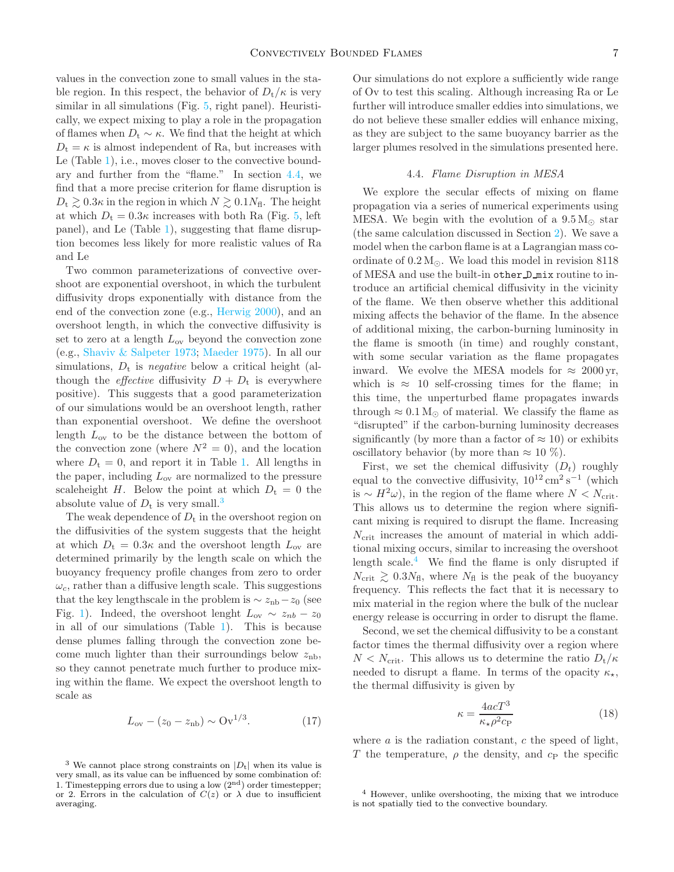values in the convection zone to small values in the stable region. In this respect, the behavior of  $D_t/\kappa$  is very similar in all simulations (Fig. [5,](#page-5-3) right panel). Heuristically, we expect mixing to play a role in the propagation of flames when  $D_t \sim \kappa$ . We find that the height at which  $D_t = \kappa$  is almost independent of Ra, but increases with Le (Table [1\)](#page-4-0), i.e., moves closer to the convective boundary and further from the "flame." In section [4.4,](#page-6-0) we find that a more precise criterion for flame disruption is  $D_t \geq 0.3\kappa$  in the region in which  $N \geq 0.1N_{\rm fl}$ . The height at which  $D_t = 0.3\kappa$  increases with both Ra (Fig. [5,](#page-5-3) left panel), and Le (Table [1\)](#page-4-0), suggesting that flame disrup-

and Le Two common parameterizations of convective overshoot are exponential overshoot, in which the turbulent diffusivity drops exponentially with distance from the end of the convection zone (e.g., [Herwig 2000\)](#page-8-6), and an overshoot length, in which the convective diffusivity is set to zero at a length  $L_{ov}$  beyond the convection zone (e.g., [Shaviv & Salpeter 1973](#page-8-26); [Maeder 1975](#page-8-27)). In all our simulations,  $D_t$  is *negative* below a critical height (although the *effective* diffusivity  $D + D_t$  is everywhere positive). This suggests that a good parameterization of our simulations would be an overshoot length, rather than exponential overshoot. We define the overshoot length  $L_{ov}$  to be the distance between the bottom of the convection zone (where  $N^2 = 0$ ), and the location where  $D_t = 0$ , and report it in Table [1.](#page-4-0) All lengths in the paper, including  $L_{\text{ov}}$  are normalized to the pressure scaleheight H. Below the point at which  $D_t = 0$  the absolute value of  $D_t$  is very small.<sup>[3](#page-6-1)</sup>

tion becomes less likely for more realistic values of Ra

The weak dependence of  $D_t$  in the overshoot region on the diffusivities of the system suggests that the height at which  $D_t = 0.3\kappa$  and the overshoot length  $L_{ov}$  are determined primarily by the length scale on which the buoyancy frequency profile changes from zero to order  $\omega_c$ , rather than a diffusive length scale. This suggestions that the key lengthscale in the problem is  $\sim z_{\rm nb} - z_0$  (see Fig. [1\)](#page-2-1). Indeed, the overshoot lenght  $L_{ov} \sim z_{nb} - z_0$ in all of our simulations (Table [1\)](#page-4-0). This is because dense plumes falling through the convection zone become much lighter than their surroundings below  $z<sub>nb</sub>$ , so they cannot penetrate much further to produce mixing within the flame. We expect the overshoot length to scale as

$$
L_{\rm ov} - (z_0 - z_{\rm nb}) \sim \text{Ov}^{1/3}.
$$
 (17)

Our simulations do not explore a sufficiently wide range of Ov to test this scaling. Although increasing Ra or Le further will introduce smaller eddies into simulations, we do not believe these smaller eddies will enhance mixing, as they are subject to the same buoyancy barrier as the larger plumes resolved in the simulations presented here.

## 4.4. Flame Disruption in MESA

<span id="page-6-0"></span>We explore the secular effects of mixing on flame propagation via a series of numerical experiments using MESA. We begin with the evolution of a  $9.5 M_{\odot}$  star (the same calculation discussed in Section [2\)](#page-1-0). We save a model when the carbon flame is at a Lagrangian mass coordinate of  $0.2 M_{\odot}$ . We load this model in revision 8118 of MESA and use the built-in other D mix routine to introduce an artificial chemical diffusivity in the vicinity of the flame. We then observe whether this additional mixing affects the behavior of the flame. In the absence of additional mixing, the carbon-burning luminosity in the flame is smooth (in time) and roughly constant, with some secular variation as the flame propagates inward. We evolve the MESA models for  $\approx 2000 \,\text{yr}$ , which is  $\approx$  10 self-crossing times for the flame; in this time, the unperturbed flame propagates inwards through  $\approx 0.1 \,\mathrm{M}_{\odot}$  of material. We classify the flame as "disrupted" if the carbon-burning luminosity decreases significantly (by more than a factor of  $\approx 10$ ) or exhibits oscillatory behavior (by more than  $\approx 10\%$ ).

First, we set the chemical diffusivity  $(D_t)$  roughly equal to the convective diffusivity,  $10^{12} \text{ cm}^2 \text{ s}^{-1}$  (which is ~  $H^2ω$ ), in the region of the flame where  $N < N<sub>crit</sub>$ . This allows us to determine the region where significant mixing is required to disrupt the flame. Increasing  $N_{\text{crit}}$  increases the amount of material in which additional mixing occurs, similar to increasing the overshoot length scale. $4$  We find the flame is only disrupted if  $N_{\text{crit}} \geq 0.3N_{\text{fl}}$ , where  $N_{\text{fl}}$  is the peak of the buoyancy frequency. This reflects the fact that it is necessary to mix material in the region where the bulk of the nuclear energy release is occurring in order to disrupt the flame.

Second, we set the chemical diffusivity to be a constant factor times the thermal diffusivity over a region where  $N < N_{\text{crit}}$ . This allows us to determine the ratio  $D_{\text{t}}/\kappa$ needed to disrupt a flame. In terms of the opacity  $\kappa_{\star}$ , the thermal diffusivity is given by

$$
\kappa = \frac{4acT^3}{\kappa_{\star}\rho^2 c_{\rm P}}\tag{18}
$$

where  $a$  is the radiation constant,  $c$  the speed of light, T the temperature,  $\rho$  the density, and  $c_{\rm P}$  the specific

<span id="page-6-1"></span><sup>&</sup>lt;sup>3</sup> We cannot place strong constraints on  $|D_t|$  when its value is very small, as its value can be influenced by some combination of: 1. Timestepping errors due to using a low  $(2<sup>nd</sup>)$  order timestepper; or 2. Errors in the calculation of  $C(z)$  or  $\lambda$  due to insufficient averaging.

<span id="page-6-2"></span><sup>4</sup> However, unlike overshooting, the mixing that we introduce is not spatially tied to the convective boundary.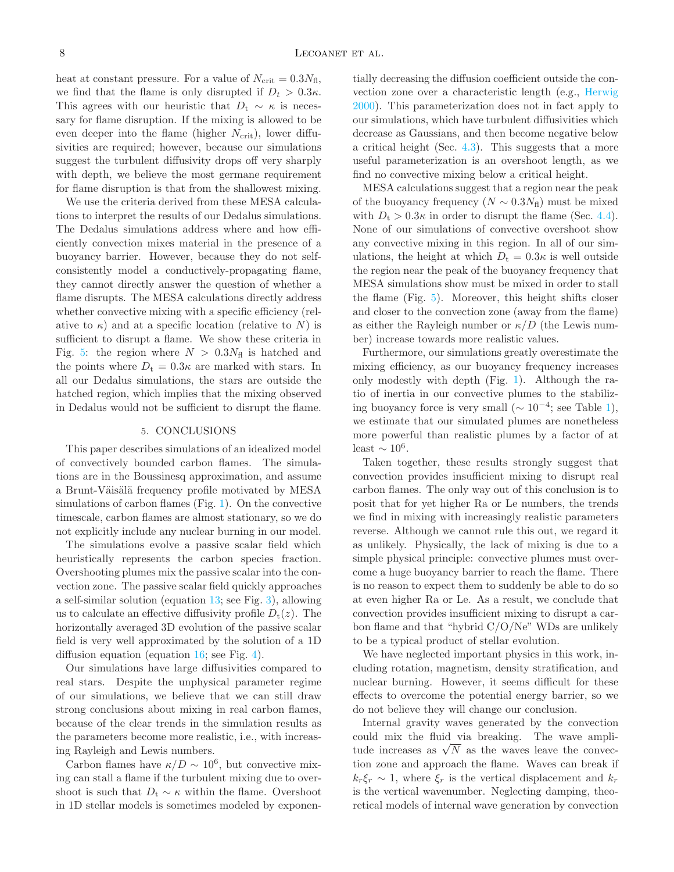heat at constant pressure. For a value of  $N_{\text{crit}} = 0.3 N_{\text{fl}}$ , we find that the flame is only disrupted if  $D_t > 0.3\kappa$ . This agrees with our heuristic that  $D_t \sim \kappa$  is necessary for flame disruption. If the mixing is allowed to be even deeper into the flame (higher  $N_{\text{crit}}$ ), lower diffusivities are required; however, because our simulations suggest the turbulent diffusivity drops off very sharply with depth, we believe the most germane requirement for flame disruption is that from the shallowest mixing.

We use the criteria derived from these MESA calculations to interpret the results of our Dedalus simulations. The Dedalus simulations address where and how efficiently convection mixes material in the presence of a buoyancy barrier. However, because they do not selfconsistently model a conductively-propagating flame, they cannot directly answer the question of whether a flame disrupts. The MESA calculations directly address whether convective mixing with a specific efficiency (relative to  $\kappa$ ) and at a specific location (relative to N) is sufficient to disrupt a flame. We show these criteria in Fig. [5:](#page-5-3) the region where  $N > 0.3N<sub>f</sub>$  is hatched and the points where  $D_t = 0.3\kappa$  are marked with stars. In all our Dedalus simulations, the stars are outside the hatched region, which implies that the mixing observed in Dedalus would not be sufficient to disrupt the flame.

## 5. CONCLUSIONS

<span id="page-7-0"></span>This paper describes simulations of an idealized model of convectively bounded carbon flames. The simulations are in the Boussinesq approximation, and assume a Brunt-Väisälä frequency profile motivated by MESA simulations of carbon flames (Fig. [1\)](#page-2-1). On the convective timescale, carbon flames are almost stationary, so we do not explicitly include any nuclear burning in our model.

The simulations evolve a passive scalar field which heuristically represents the carbon species fraction. Overshooting plumes mix the passive scalar into the convection zone. The passive scalar field quickly approaches a self-similar solution (equation [13;](#page-5-0) see Fig. [3\)](#page-4-2), allowing us to calculate an effective diffusivity profile  $D_t(z)$ . The horizontally averaged 3D evolution of the passive scalar field is very well approximated by the solution of a 1D diffusion equation (equation [16;](#page-5-1) see Fig. [4\)](#page-5-4).

Our simulations have large diffusivities compared to real stars. Despite the unphysical parameter regime of our simulations, we believe that we can still draw strong conclusions about mixing in real carbon flames, because of the clear trends in the simulation results as the parameters become more realistic, i.e., with increasing Rayleigh and Lewis numbers.

Carbon flames have  $\kappa/D \sim 10^6$ , but convective mixing can stall a flame if the turbulent mixing due to overshoot is such that  $D_t \sim \kappa$  within the flame. Overshoot in 1D stellar models is sometimes modeled by exponentially decreasing the diffusion coefficient outside the convection zone over a characteristic length (e.g., [Herwig](#page-8-6) [2000\)](#page-8-6). This parameterization does not in fact apply to our simulations, which have turbulent diffusivities which decrease as Gaussians, and then become negative below a critical height (Sec. [4.3\)](#page-5-5). This suggests that a more useful parameterization is an overshoot length, as we find no convective mixing below a critical height.

MESA calculations suggest that a region near the peak of the buoyancy frequency  $(N \sim 0.3N_f)$  must be mixed with  $D_t > 0.3\kappa$  in order to disrupt the flame (Sec. [4.4\)](#page-6-0). None of our simulations of convective overshoot show any convective mixing in this region. In all of our simulations, the height at which  $D_t = 0.3\kappa$  is well outside the region near the peak of the buoyancy frequency that MESA simulations show must be mixed in order to stall the flame (Fig. [5\)](#page-5-3). Moreover, this height shifts closer and closer to the convection zone (away from the flame) as either the Rayleigh number or  $\kappa/D$  (the Lewis number) increase towards more realistic values.

Furthermore, our simulations greatly overestimate the mixing efficiency, as our buoyancy frequency increases only modestly with depth (Fig. [1\)](#page-2-1). Although the ratio of inertia in our convective plumes to the stabilizing buoyancy force is very small ( $\sim 10^{-4}$ ; see Table [1\)](#page-4-0), we estimate that our simulated plumes are nonetheless more powerful than realistic plumes by a factor of at least  $\sim 10^6$ .

Taken together, these results strongly suggest that convection provides insufficient mixing to disrupt real carbon flames. The only way out of this conclusion is to posit that for yet higher Ra or Le numbers, the trends we find in mixing with increasingly realistic parameters reverse. Although we cannot rule this out, we regard it as unlikely. Physically, the lack of mixing is due to a simple physical principle: convective plumes must overcome a huge buoyancy barrier to reach the flame. There is no reason to expect them to suddenly be able to do so at even higher Ra or Le. As a result, we conclude that convection provides insufficient mixing to disrupt a carbon flame and that "hybrid C/O/Ne" WDs are unlikely to be a typical product of stellar evolution.

We have neglected important physics in this work, including rotation, magnetism, density stratification, and nuclear burning. However, it seems difficult for these effects to overcome the potential energy barrier, so we do not believe they will change our conclusion.

Internal gravity waves generated by the convection could mix the fluid via breaking. The wave amplitude increases as  $\sqrt{N}$  as the waves leave the convection zone and approach the flame. Waves can break if  $k_r \xi_r \sim 1$ , where  $\xi_r$  is the vertical displacement and  $k_r$ is the vertical wavenumber. Neglecting damping, theoretical models of internal wave generation by convection